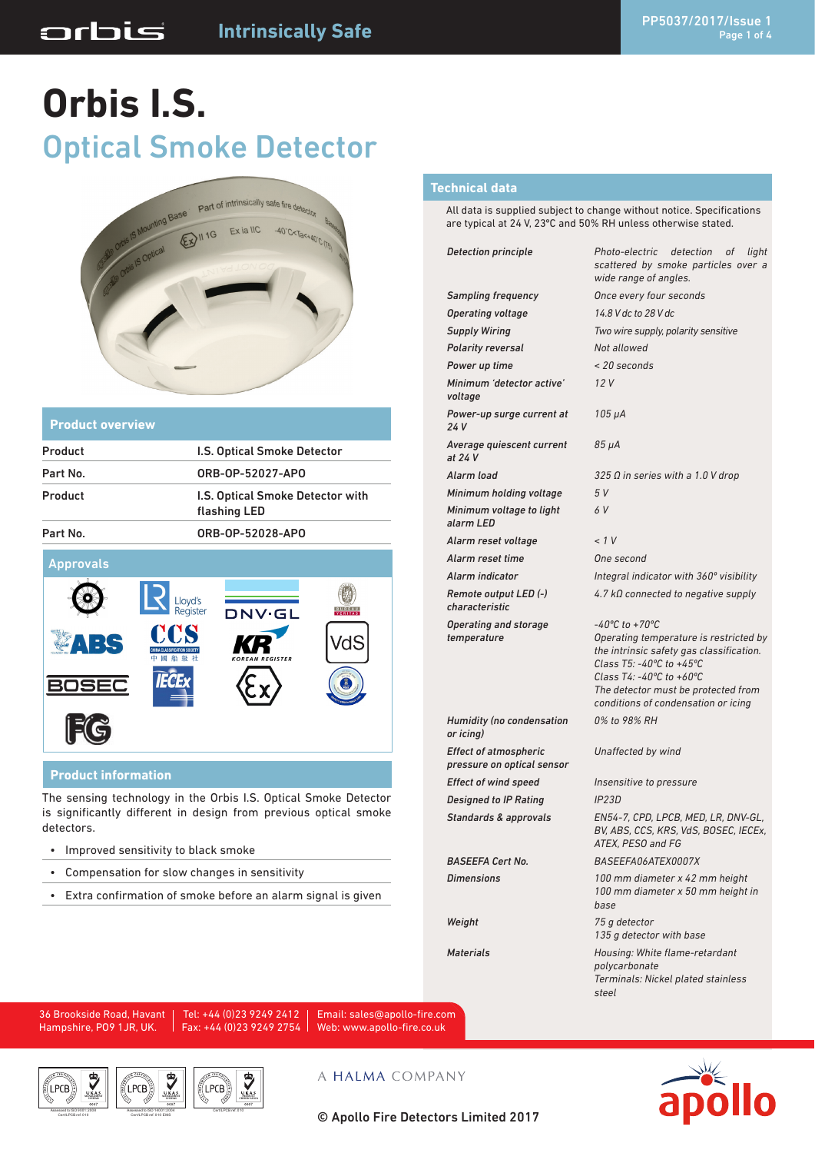# **Orbis I.S.** Optical Smoke Detector



| <b>Product overview</b> |                                                  |                             |                |  |  |
|-------------------------|--------------------------------------------------|-----------------------------|----------------|--|--|
| Product                 |                                                  | I.S. Optical Smoke Detector |                |  |  |
| Part No.                |                                                  | ORB-0P-52027-APO            |                |  |  |
| Product                 | I.S. Optical Smoke Detector with<br>flashing LED |                             |                |  |  |
| Part No.                | ORB-0P-52028-APO                                 |                             |                |  |  |
| <b>Approvals</b>        |                                                  |                             |                |  |  |
|                         | Lloyd's<br>Register                              | <b>DNV</b> GL               | <b>VERITAS</b> |  |  |
|                         | CCS<br>船級社                                       | <b>KOREAN REGISTER</b>      |                |  |  |

#### **Product information**

**BOSE** 

The sensing technology in the Orbis I.S. Optical Smoke Detector is significantly different in design from previous optical smoke detectors.

- Improved sensitivity to black smoke
- Compensation for slow changes in sensitivity
- Extra confirmation of smoke before an alarm signal is given

#### **Technical data**

All data is supplied subject to change without notice. Specifications are typical at 24 V, 23ºC and 50% RH unless otherwise stated.

| <b>Detection principle</b>                                 | Photo-electric detection<br>of<br>light<br>scattered by smoke particles over a<br>wide range of angles.                                                                                                                                                        |  |  |
|------------------------------------------------------------|----------------------------------------------------------------------------------------------------------------------------------------------------------------------------------------------------------------------------------------------------------------|--|--|
| <b>Sampling frequency</b>                                  | Once every four seconds                                                                                                                                                                                                                                        |  |  |
| <b>Operating voltage</b>                                   | 14.8 V dc to 28 V dc                                                                                                                                                                                                                                           |  |  |
| <b>Supply Wiring</b>                                       | Two wire supply, polarity sensitive                                                                                                                                                                                                                            |  |  |
| <b>Polarity reversal</b>                                   | Not allowed                                                                                                                                                                                                                                                    |  |  |
| Power up time                                              | < 20 seconds                                                                                                                                                                                                                                                   |  |  |
| Minimum 'detector active'<br>voltage                       | 12V                                                                                                                                                                                                                                                            |  |  |
| Power-up surge current at<br>24 V                          | $105 \mu A$                                                                                                                                                                                                                                                    |  |  |
| Average quiescent current<br>at 24 V                       | 85 µ A                                                                                                                                                                                                                                                         |  |  |
| Alarm load                                                 | 325 Ω in series with a 1.0 V drop                                                                                                                                                                                                                              |  |  |
| Minimum holding voltage                                    | 5V                                                                                                                                                                                                                                                             |  |  |
| Minimum voltage to light<br>alarm LED                      | 6 V                                                                                                                                                                                                                                                            |  |  |
| Alarm reset voltage                                        | < 1 V                                                                                                                                                                                                                                                          |  |  |
| Alarm reset time                                           | One second                                                                                                                                                                                                                                                     |  |  |
| Alarm indicator                                            | Integral indicator with 360° visibility                                                                                                                                                                                                                        |  |  |
| Remote output LED (-)<br>characteristic                    | $4.7$ k $\Omega$ connected to negative supply                                                                                                                                                                                                                  |  |  |
| <b>Operating and storage</b><br>temperature                | $-40^{\circ}$ C to $+70^{\circ}$ C<br>Operating temperature is restricted by<br>the intrinsic safety gas classification.<br>Class T5: -40°C to +45°C<br>Class T4: -40°C to +60°C<br>The detector must be protected from<br>conditions of condensation or icing |  |  |
| <b>Humidity (no condensation</b><br>or icing)              | 0% to 98% RH                                                                                                                                                                                                                                                   |  |  |
| <b>Effect of atmospheric</b><br>pressure on optical sensor | Unaffected by wind                                                                                                                                                                                                                                             |  |  |
| <b>Effect of wind speed</b>                                | Insensitive to pressure                                                                                                                                                                                                                                        |  |  |
| <b>Designed to IP Rating</b>                               | IP23D                                                                                                                                                                                                                                                          |  |  |
| Standards & approvals                                      | EN54-7, CPD, LPCB, MED, LR, DNV-GL,<br>BV, ABS, CCS, KRS, VdS, BOSEC, IECEx,<br>ATEX, PESO and FG                                                                                                                                                              |  |  |
| <b>BASEEFA Cert No.</b>                                    | BASEEFA06ATEX0007X                                                                                                                                                                                                                                             |  |  |
| <b>Dimensions</b>                                          | 100 mm diameter x 42 mm height<br>100 mm diameter x 50 mm height in<br>base                                                                                                                                                                                    |  |  |
| Weight                                                     | 75 g detector<br>135 g detector with base                                                                                                                                                                                                                      |  |  |
| Materials                                                  | Housing: White flame-retardant                                                                                                                                                                                                                                 |  |  |

*polycarbonate Terminals: Nickel plated stainless steel*

36 Brookside Road, Havant Hampshire, PO9 1JR, UK.

Tel: +44 (0)23 9249 2412 Fax: +44 (0)23 9249 2754 Email: sales@apollo-fire.com Web: www.apollo-fire.co.uk







#### A HALMA COMPANY

# $\overline{\mathbf{O}}$

© Apollo Fire Detectors Limited 2017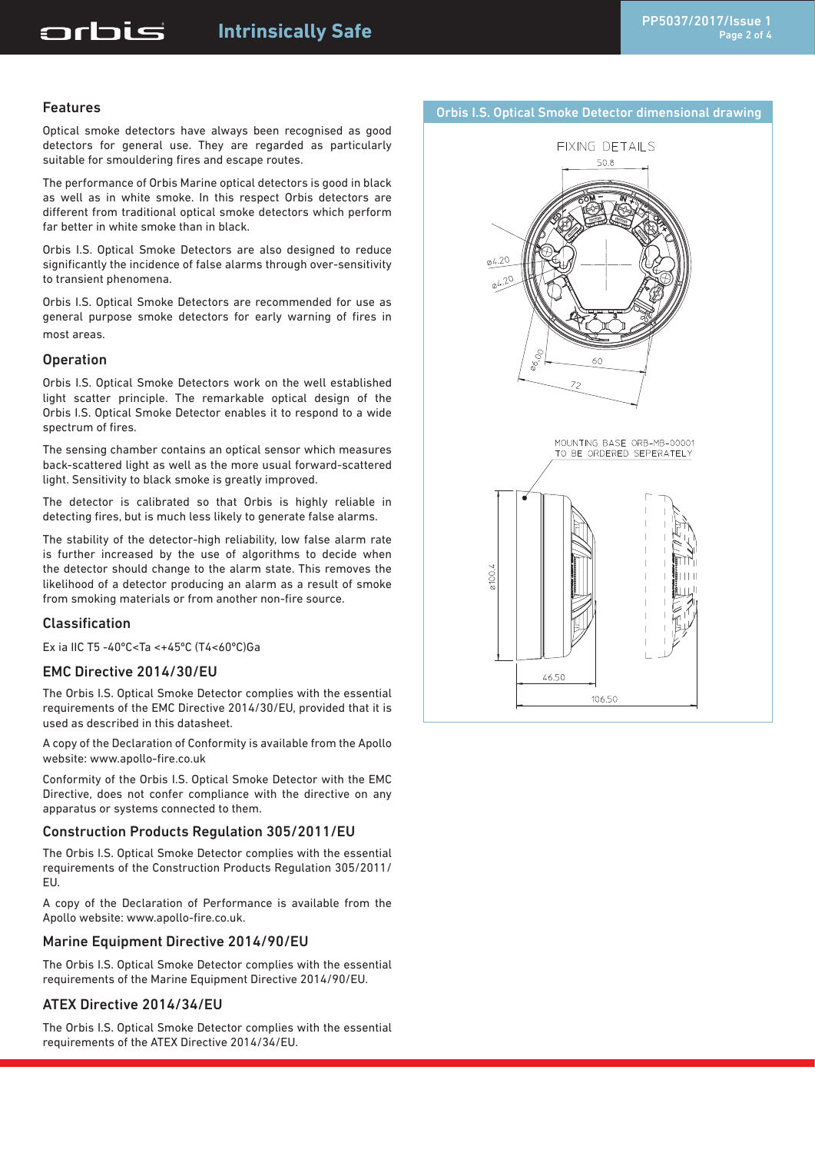#### Features

Optical smoke detectors have always been recognised as good detectors for general use. They are regarded as particularly suitable for smouldering fires and escape routes.

The performance of Orbis Marine optical detectors is good in black as well as in white smoke. In this respect Orbis detectors are different from traditional optical smoke detectors which perform far better in white smoke than in black.

Orbis I.S. Optical Smoke Detectors are also designed to reduce significantly the incidence of false alarms through over-sensitivity to transient phenomena.

Orbis I.S. Optical Smoke Detectors are recommended for use as general purpose smoke detectors for early warning of fires in most areas.

#### Operation

Orbis I.S. Optical Smoke Detectors work on the well established light scatter principle. The remarkable optical design of the Orbis I.S. Optical Smoke Detector enables it to respond to a wide spectrum of fires.

The sensing chamber contains an optical sensor which measures back-scattered light as well as the more usual forward-scattered light. Sensitivity to black smoke is greatly improved.

The detector is calibrated so that Orbis is highly reliable in detecting fires, but is much less likely to generate false alarms.

The stability of the detector-high reliability, low false alarm rate is further increased by the use of algorithms to decide when the detector should change to the alarm state. This removes the likelihood of a detector producing an alarm as a result of smoke from smoking materials or from another non-fire source.

#### Classification

Ex ia IIC T5 -40ºC<Ta <+45ºC (T4<60ºC)Ga

#### EMC Directive 2014/30/EU

The Orbis I.S. Optical Smoke Detector complies with the essential requirements of the EMC Directive 2014/30/EU, provided that it is used as described in this datasheet.

A copy of the Declaration of Conformity is available from the Apollo website: www.apollo-fire.co.uk

Conformity of the Orbis I.S. Optical Smoke Detector with the EMC Directive, does not confer compliance with the directive on any apparatus or systems connected to them.

#### Construction Products Regulation 305/2011/EU

The Orbis I.S. Optical Smoke Detector complies with the essential requirements of the Construction Products Regulation 305/2011/ EU.

A copy of the Declaration of Performance is available from the Apollo website: www.apollo-fire.co.uk.

## Marine Equipment Directive 2014/90/EU

The Orbis I.S. Optical Smoke Detector complies with the essential requirements of the Marine Equipment Directive 2014/90/EU.

## ATEX Directive 2014/34/EU

The Orbis I.S. Optical Smoke Detector complies with the essential requirements of the ATEX Directive 2014/34/EU.

# Orbis I.S. Optical Smoke Detector dimensional drawing

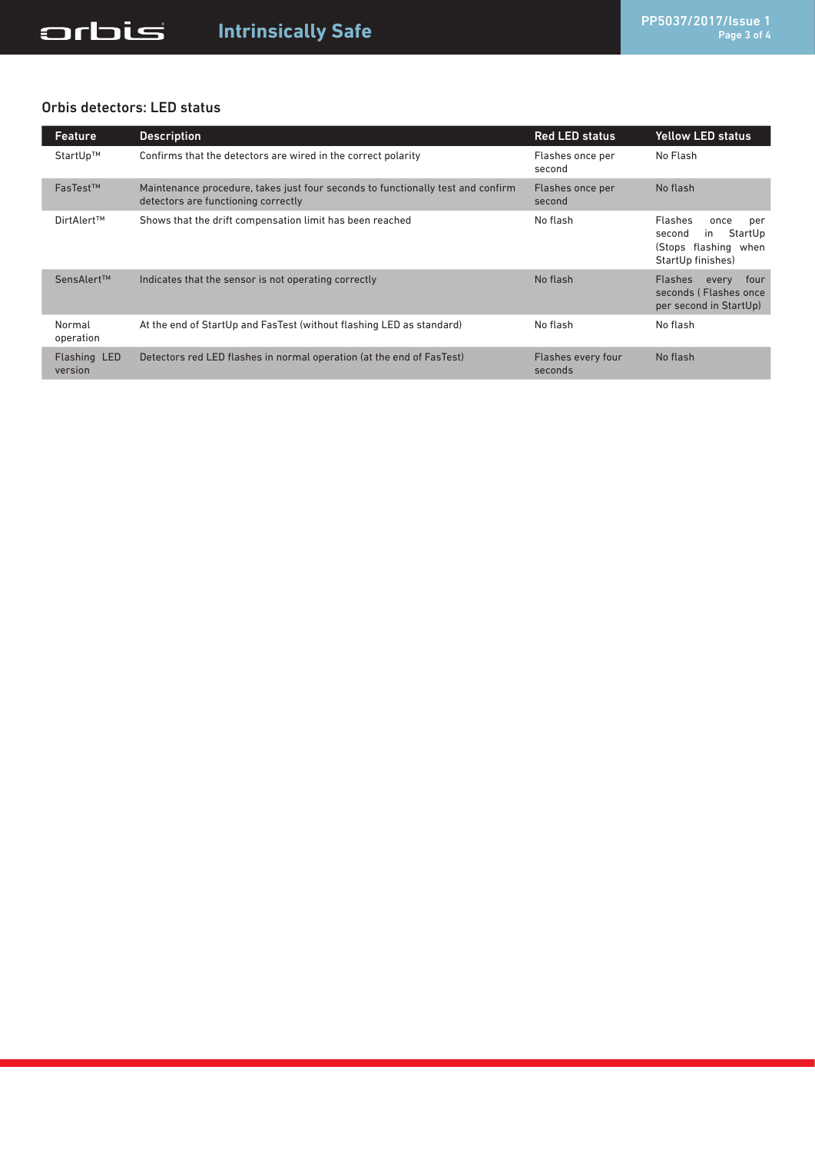#### Orbis detectors: LED status

| <b>Feature</b>          | <b>Description</b>                                                                                                     | <b>Red LED status</b>         | <b>Yellow LED status</b>                                                                       |
|-------------------------|------------------------------------------------------------------------------------------------------------------------|-------------------------------|------------------------------------------------------------------------------------------------|
| StartUp™                | Confirms that the detectors are wired in the correct polarity                                                          | Flashes once per<br>second    | No Flash                                                                                       |
| <b>FasTest™</b>         | Maintenance procedure, takes just four seconds to functionally test and confirm<br>detectors are functioning correctly | Flashes once per<br>second    | No flash                                                                                       |
| DirtAlert™              | Shows that the drift compensation limit has been reached                                                               | No flash                      | Flashes<br>once<br>per<br>StartUp<br>second<br>in<br>(Stops flashing when<br>StartUp finishes) |
| SensAlert™              | Indicates that the sensor is not operating correctly                                                                   | No flash                      | <b>Flashes</b><br>four<br>every<br>seconds (Flashes once<br>per second in StartUp)             |
| Normal<br>operation     | At the end of StartUp and FasTest (without flashing LED as standard)                                                   | No flash                      | No flash                                                                                       |
| Flashing LED<br>version | Detectors red LED flashes in normal operation (at the end of FasTest)                                                  | Flashes every four<br>seconds | No flash                                                                                       |